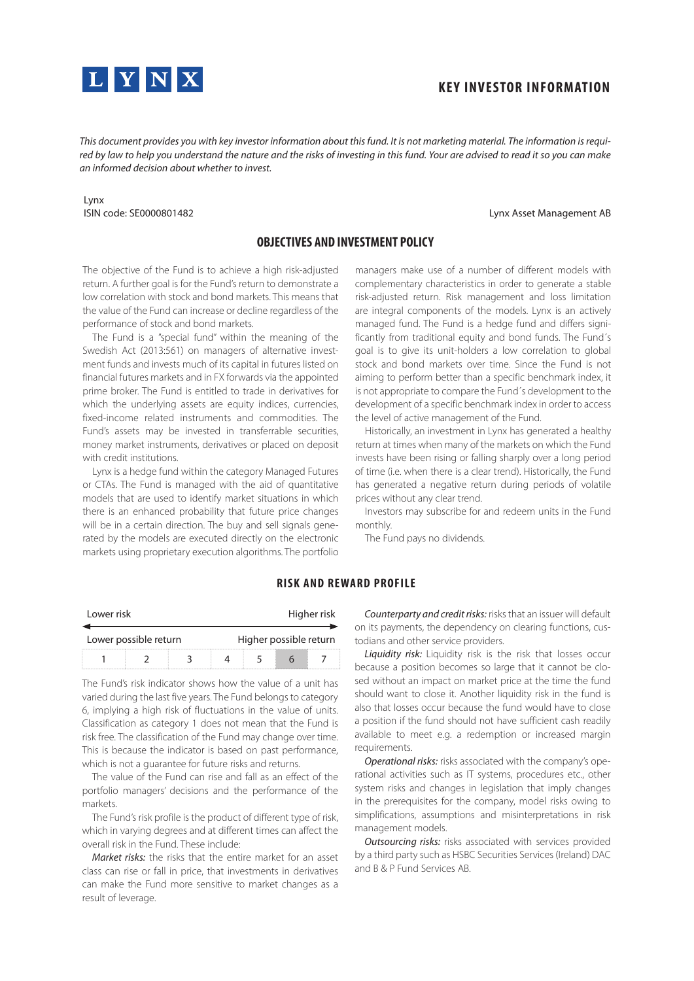

# **KEY INVESTOR INFORMATION**

*This document provides you with key investor information about this fund. It is not marketing material. The information is required by law to help you understand the nature and the risks of investing in this fund. Your are advised to read it so you can make an informed decision about whether to invest.*

#### Lynx ISIN code: SE0000801482

#### Lynx Asset Management AB

## **OBJECTIVES AND INVESTMENT POLICY**

The objective of the Fund is to achieve a high risk-adjusted return. A further goal is for the Fund's return to demonstrate a low correlation with stock and bond markets. This means that the value of the Fund can increase or decline regardless of the performance of stock and bond markets.

The Fund is a "special fund" within the meaning of the Swedish Act (2013:561) on managers of alternative investment funds and invests much of its capital in futures listed on financial futures markets and in FX forwards via the appointed prime broker. The Fund is entitled to trade in derivatives for which the underlying assets are equity indices, currencies, fixed-income related instruments and commodities. The Fund's assets may be invested in transferrable securities, money market instruments, derivatives or placed on deposit with credit institutions.

Lynx is a hedge fund within the category Managed Futures or CTAs. The Fund is managed with the aid of quantitative models that are used to identify market situations in which there is an enhanced probability that future price changes will be in a certain direction. The buy and sell signals generated by the models are executed directly on the electronic markets using proprietary execution algorithms. The portfolio managers make use of a number of different models with complementary characteristics in order to generate a stable risk-adjusted return. Risk management and loss limitation are integral components of the models. Lynx is an actively managed fund. The Fund is a hedge fund and differs significantly from traditional equity and bond funds. The Fund´s goal is to give its unit-holders a low correlation to global stock and bond markets over time. Since the Fund is not aiming to perform better than a specific benchmark index, it is not appropriate to compare the Fund´s development to the development of a specific benchmark index in order to access the level of active management of the Fund.

Historically, an investment in Lynx has generated a healthy return at times when many of the markets on which the Fund invests have been rising or falling sharply over a long period of time (i.e. when there is a clear trend). Historically, the Fund has generated a negative return during periods of volatile prices without any clear trend.

Investors may subscribe for and redeem units in the Fund monthly.

The Fund pays no dividends.

| Lower risk<br>Lower possible return |  |  |                        | Higher risk |  |  |  |
|-------------------------------------|--|--|------------------------|-------------|--|--|--|
|                                     |  |  | Higher possible return |             |  |  |  |
|                                     |  |  |                        |             |  |  |  |

#### **RISK AND REWARD PROFILE**

The Fund's risk indicator shows how the value of a unit has varied during the last five years. The Fund belongs to category 6, implying a high risk of fluctuations in the value of units. Classification as category 1 does not mean that the Fund is risk free. The classification of the Fund may change over time. This is because the indicator is based on past performance, which is not a guarantee for future risks and returns.

The value of the Fund can rise and fall as an effect of the portfolio managers' decisions and the performance of the markets.

The Fund's risk profile is the product of different type of risk, which in varying degrees and at different times can affect the overall risk in the Fund. These include:

*Market risks:* the risks that the entire market for an asset class can rise or fall in price, that investments in derivatives can make the Fund more sensitive to market changes as a result of leverage.

*Counterparty and credit risks:* risks that an issuer will default on its payments, the dependency on clearing functions, custodians and other service providers.

*Liquidity risk:* Liquidity risk is the risk that losses occur because a position becomes so large that it cannot be closed without an impact on market price at the time the fund should want to close it. Another liquidity risk in the fund is also that losses occur because the fund would have to close a position if the fund should not have sufficient cash readily available to meet e.g. a redemption or increased margin requirements.

*Operational risks:* risks associated with the company's operational activities such as IT systems, procedures etc., other system risks and changes in legislation that imply changes in the prerequisites for the company, model risks owing to simplifications, assumptions and misinterpretations in risk management models.

*Outsourcing risks:* risks associated with services provided by a third party such as HSBC Securities Services (Ireland) DAC and B & P Fund Services AB.